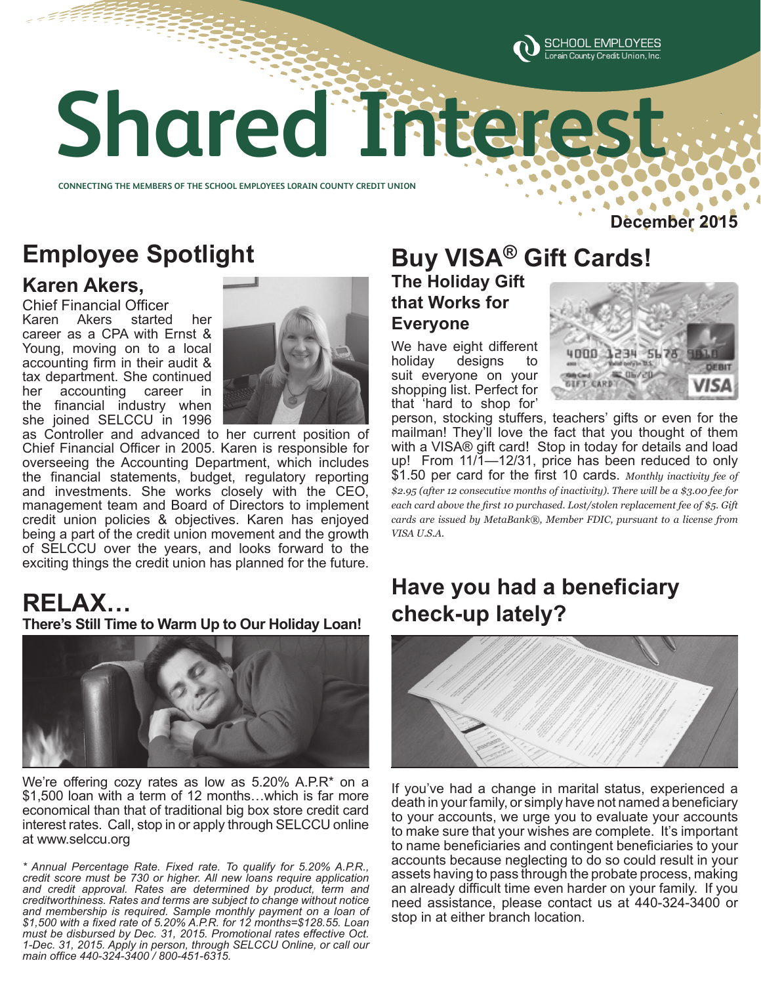

# **Shared Interest Shared Interest**

**CONNECTING THE MEMBERS OF THE SCHOOL EMPLOYEES LORAIN COUNTY CREDIT UNION CONNECTING THE MEMBERS OF THE SCHOOL EMPLOYEES LORAIN COUNTY CREDIT UNION** 

## **Employee Spotlight**

#### **Karen Akers,**

Chief Financial Officer<br>Karen Akers started Karen Akers started her career as a CPA with Ernst & Young, moving on to a local accounting firm in their audit & tax department. She continued her accounting career in the financial industry when she joined SELCCU in 1996



as Controller and advanced to her current position of Chief Financial Officer in 2005. Karen is responsible for overseeing the Accounting Department, which includes the financial statements, budget, regulatory reporting and investments. She works closely with the CEO, management team and Board of Directors to implement credit union policies & objectives. Karen has enjoyed being a part of the credit union movement and the growth of SELCCU over the years, and looks forward to the exciting things the credit union has planned for the future.

## **RELAX…**

**There's Still Time to Warm Up to Our Holiday Loan!**



We're offering cozy rates as low as 5.20% A.P.R\* on a \$1,500 loan with a term of 12 months…which is far more economical than that of traditional big box store credit card interest rates. Call, stop in or apply through SELCCU online at www.selccu.org

*\* Annual Percentage Rate. Fixed rate. To qualify for 5.20% A.P.R., credit score must be 730 or higher. All new loans require application and credit approval. Rates are determined by product, term and creditworthiness. Rates and terms are subject to change without notice and membership is required. Sample monthly payment on a loan of \$1,500 with a fixed rate of 5.20% A.P.R. for 12 months=\$128.55. Loan must be disbursed by Dec. 31, 2015. Promotional rates effective Oct. 1-Dec. 31, 2015. Apply in person, through SELCCU Online, or call our main office 440-324-3400 / 800-451-6315.*

#### **Buy VISA® Gift Cards! The Holiday Gift**

**that Works for Everyone**

We have eight different holiday designs to suit everyone on your shopping list. Perfect for that 'hard to shop for'



**December 2015**

person, stocking stuffers, teachers' gifts or even for the mailman! They'll love the fact that you thought of them with a VISA® gift card! Stop in today for details and load up! From 11/1-12/31, price has been reduced to only \$1.50 per card for the first 10 cards. *Monthly inactivity fee of \$2.95 (after 12 consecutive months of inactivity). There will be a \$3.00 fee for each card above the first 10 purchased. Lost/stolen replacement fee of \$5. Gift cards are issued by MetaBank®, Member FDIC, pursuant to a license from VISA U.S.A.*

### **Have you had a beneficiary check-up lately?**



If you've had a change in marital status, experienced a death in your family, or simply have not named a beneficiary to your accounts, we urge you to evaluate your accounts to make sure that your wishes are complete. It's important to name beneficiaries and contingent beneficiaries to your accounts because neglecting to do so could result in your assets having to pass through the probate process, making an already difficult time even harder on your family. If you need assistance, please contact us at 440-324-3400 or stop in at either branch location.